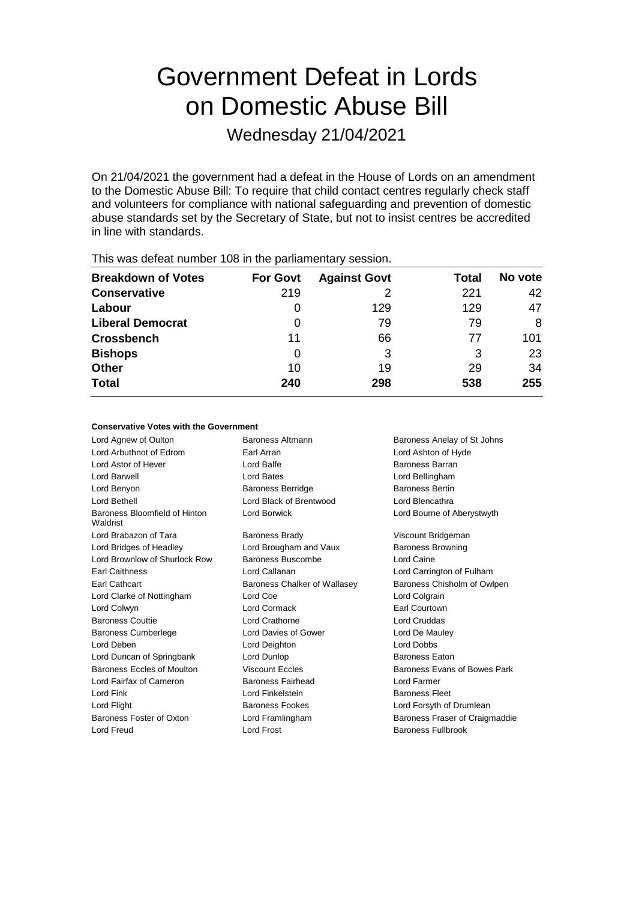# Government Defeat in Lords on Domestic Abuse Bill

Wednesday 21/04/2021

On 21/04/2021 the government had a defeat in the House of Lords on an amendment to the Domestic Abuse Bill: To require that child contact centres regularly check staff and volunteers for compliance with national safeguarding and prevention of domestic abuse standards set by the Secretary of State, but not to insist centres be accredited in line with standards.

| This was acroat harnoof foo in the parliamentary occorditi |                 |                     |       |         |
|------------------------------------------------------------|-----------------|---------------------|-------|---------|
| <b>Breakdown of Votes</b>                                  | <b>For Govt</b> | <b>Against Govt</b> | Total | No vote |
| <b>Conservative</b>                                        | 219             |                     | 221   | 42      |
| Labour                                                     |                 | 129                 | 129   | 47      |
| <b>Liberal Democrat</b>                                    | O               | 79                  | 79    | 8       |
| <b>Crossbench</b>                                          | 11              | 66                  | 77    | 101     |
| <b>Bishops</b>                                             | 0               | 3                   | 3     | 23      |
| <b>Other</b>                                               | 10              | 19                  | 29    | 34      |
| <b>Total</b>                                               | 240             | 298                 | 538   | 255     |
|                                                            |                 |                     |       |         |

This was defeat number 108 in the parliamentary session.

### **Conservative Votes with the Government**

Lord Agnew of Oulton **Baroness Altmann** Baroness Anelay of St Johns Lord Arbuthnot of Edrom Earl Arran Lord Ashton of Hyde Lord Astor of Hever **Lord Balfe Lord Balfe Baroness Barran** Lord Barwell Lord Bates Lord Bellingham Lord Benyon Baroness Berridge Baroness Bertin Lord Bethell Lord Black of Brentwood Lord Blencathra Baroness Bloomfield of Hinton Waldrist Lord Borwick Lord Bourne of Aberystwyth Lord Brabazon of Tara **Baroness Brady Communist Constructs** Viscount Bridgeman Lord Bridges of Headley **Lord Brougham and Vaux** Baroness Browning Lord Brownlow of Shurlock Row Baroness Buscombe Lord Caine Earl Caithness Lord Callanan Lord Carrington of Fulham Earl Cathcart **Baroness Chalker of Wallasey** Baroness Chisholm of Owlpen Lord Clarke of Nottingham Lord Coe Lord Colgrain Lord Colwyn Lord Cormack Earl Courtown Baroness Couttie Lord Crathorne Lord Cruddas Baroness Cumberlege Lord Davies of Gower Lord De Mauley Lord Deben Lord Deighton Lord Dobbs Lord Duncan of Springbank Lord Dunlop **Baroness Eaton** Baroness Eccles of Moulton **Viscount Eccles** Baroness Evans of Bowes Park Lord Fairfax of Cameron Baroness Fairhead Lord Farmer Lord Fink **Lord Finkelstein** Baroness Fleet Lord Flight **Baroness Fookes** Lord Forsyth of Drumlean **Baroness Fookes** Baroness Foster of Oxton Lord Framlingham Baroness Fraser of Craigmaddie Lord Freud Lord Frost Baroness Fullbrook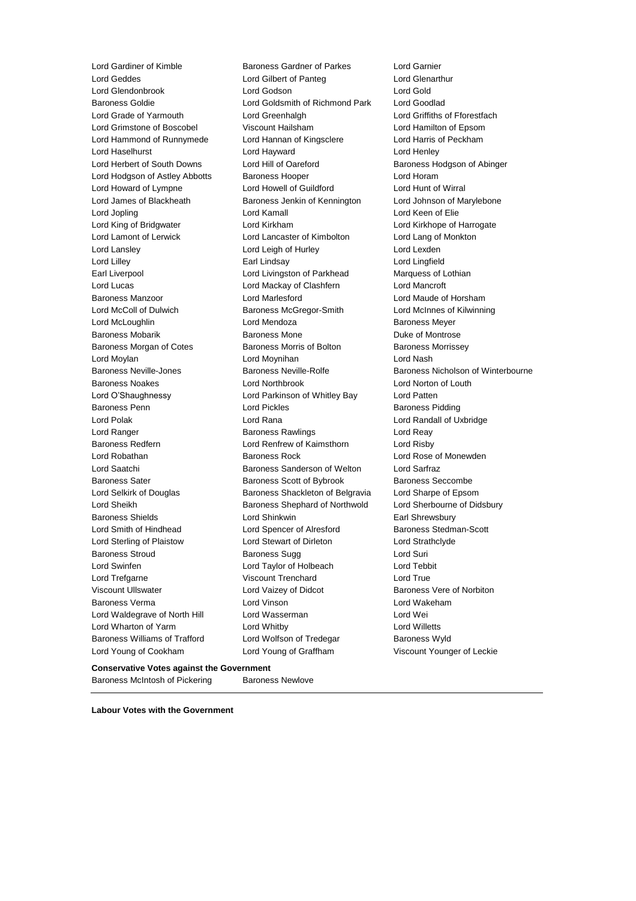Lord Gardiner of Kimble Baroness Gardner of Parkes Lord Garnier

Lord Geddes Lord Gilbert of Panteg Lord Glenarthur Lord Glendonbrook Lord Godson Lord Gold Baroness Goldie Lord Goldsmith of Richmond Park Lord Goodlad Lord Grade of Yarmouth Lord Greenhalgh Lord Griffiths of Fforestfach Lord Grimstone of Boscobel Viscount Hailsham Lord Hamilton of Epsom Lord Hammond of Runnymede Lord Hannan of Kingsclere Lord Harris of Peckham Lord Haselhurst **Lord Hayward** Lord Hayward Lord Henley Lord Herbert of South Downs Lord Hill of Oareford Baroness Hodgson of Abinger Lord Hodgson of Astley Abbotts Baroness Hooper Superversion and Horam Lord Howard of Lympne Lord Howell of Guildford Lord Hunt of Wirral Lord James of Blackheath Baroness Jenkin of Kennington Lord Johnson of Marylebone Lord Jopling Lord Kamall Lord Keen of Elie Lord King of Bridgwater Lord Kirkham Lord Kirkhope of Harrogate Lord Lamont of Lerwick Lord Lancaster of Kimbolton Lord Lang of Monkton Lord Lansley Lord Leigh of Hurley Lord Lexden Lord Lilley Earl Lindsay Lord Lingfield Earl Liverpool Lord Livingston of Parkhead Marquess of Lothian Lord Lucas Lord Mackay of Clashfern Lord Mancroft Baroness Manzoor Lord Marlesford Lord Maude of Horsham Lord McColl of Dulwich Baroness McGregor-Smith Lord McInnes of Kilwinning Lord McLoughlin **Lord Mendoza Baroness Meyer** Baroness Mobarik **Baroness Mone** Baroness Mone **Duke of Montrose** Baroness Morgan of Cotes **Baroness Morris of Bolton** Baroness Morrissey Lord Moylan Lord Moynihan Lord Nash Baroness Neville-Jones Baroness Neville-Rolfe Baroness Nicholson of Winterbourne Baroness Noakes Lord Northbrook Lord Norton of Louth Lord O'Shaughnessy Lord Parkinson of Whitley Bay Lord Patten Baroness Penn **Connect Connect Connect Connect Connect Connect Connect Connect Connect Connect Connect Connect Connect Connect Connect Connect Connect Connect Connect Connect Connect Connect Connect Connect Connect Connect** Lord Polak Lord Rana Lord Randall of Uxbridge Lord Ranger **Baroness Rawlings** Lord Reay Ranger **Lord Reay** Baroness Redfern Lord Renfrew of Kaimsthorn Lord Risby Lord Robathan **Baroness Rock** Lord Rose of Monewden Lord Saatchi **Baroness Sanderson of Welton** Lord Sarfraz Baroness Sater **Baroness Scott of Bybrook** Baroness Seccombe Lord Selkirk of Douglas Baroness Shackleton of Belgravia Lord Sharpe of Epsom Lord Sheikh Baroness Shephard of Northwold Lord Sherbourne of Didsbury Baroness Shields **Earl Shinkwin** Lord Shinkwin **Earl Shrewsbury** Lord Smith of Hindhead Lord Spencer of Alresford Baroness Stedman-Scott Lord Sterling of Plaistow Lord Stewart of Dirleton Lord Strathclyde Baroness Stroud **Baroness Sugg Contact Surism** Baroness Sugg Lord Suri Lord Swinfen Lord Taylor of Holbeach Lord Tebbit Lord Trefgarne Viscount Trenchard Lord True Viscount Ullswater Lord Vaizey of Didcot Baroness Vere of Norbiton Baroness Verma Lord Vinson Lord Wakeham Lord Waldegrave of North Hill Lord Wasserman Lord Wei Lord Wharton of Yarm Lord Whitby Lord Willetts Baroness Williams of Trafford Lord Wolfson of Tredegar Baroness Wyld Lord Young of Cookham Lord Young of Graffham Viscount Younger of Leckie

#### **Conservative Votes against the Government**

Baroness McIntosh of Pickering Baroness Newlove

**Labour Votes with the Government**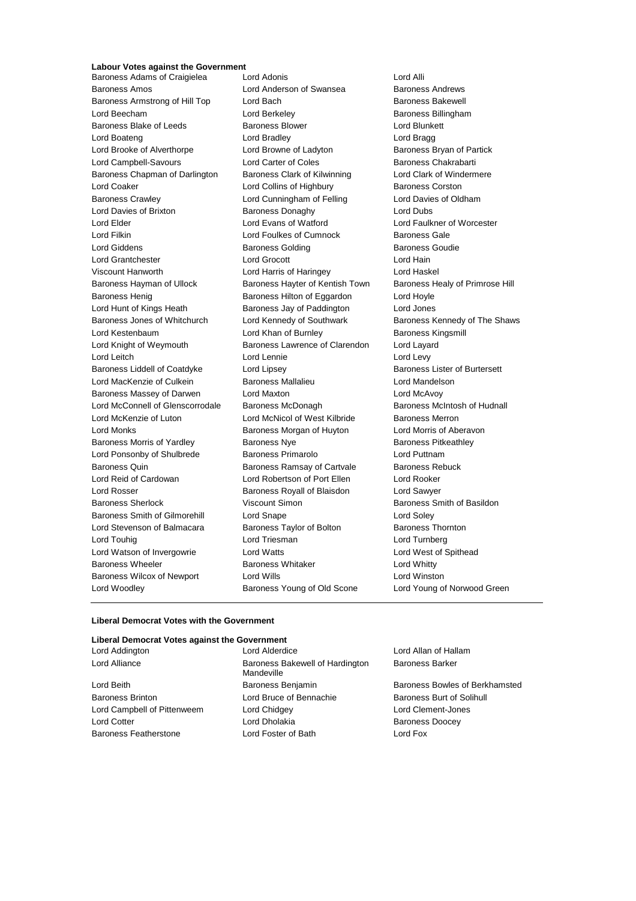# **Labour Votes against the Government**

Baroness Amos Lord Anderson of Swansea Baroness Andrews Baroness Armstrong of Hill Top Lord Bach Baroness Bakewell Lord Beecham **Lord Berkeley Baroness Billingham** Baroness Blake of Leeds **Baroness Blower** Baroness Blower **Lord Blunkett** Lord Boateng Lord Bradley Lord Bragg Lord Brooke of Alverthorpe Lord Browne of Ladyton Baroness Bryan of Partick Lord Campbell-Savours **Lord Carter of Coles** Baroness Chakrabarti Baroness Chapman of Darlington Baroness Clark of Kilwinning Lord Clark of Windermere Lord Coaker **Lord Collins of Highbury** Baroness Corston Baroness Crawley Lord Cunningham of Felling Lord Davies of Oldham Lord Davies of Brixton **Baroness Donaghy Lord Dubs** Lord Elder Lord Evans of Watford Lord Faulkner of Worcester Lord Filkin **Lord Foulkes of Cumnock** Baroness Gale Lord Giddens Baroness Golding Baroness Goudie Lord Grantchester Lord Grocott Lord Hain Viscount Hanworth Lord Harris of Haringey Lord Haskel Baroness Hayman of Ullock Baroness Hayter of Kentish Town Baroness Healy of Primrose Hill Baroness Henig **Baroness Hilton of Eggardon** Lord Hoyle Lord Hunt of Kings Heath Baroness Jay of Paddington Lord Jones Baroness Jones of Whitchurch Lord Kennedy of Southwark Baroness Kennedy of The Shaws Lord Kestenbaum **Lord Khan of Burnley Baroness Kingsmill** Lord Knight of Weymouth Baroness Lawrence of Clarendon Lord Layard Lord Leitch **Lord Lennie** Lord Lennie **Lord Levy** Baroness Liddell of Coatdyke Lord Lipsey Communication Baroness Lister of Burtersett Lord MacKenzie of Culkein **Baroness Mallalieu Lord Mandelson** Baroness Massey of Darwen Lord Maxton Lord McAvoy Lord McConnell of Glenscorrodale Baroness McDonagh Baroness McIntosh of Hudnall Lord McKenzie of Luton Lord McNicol of West Kilbride Baroness Merron Lord Monks Baroness Morgan of Huyton Lord Morris of Aberavon Baroness Morris of Yardley **Baroness Nye Baroness Provides** Baroness Pitkeathley Lord Ponsonby of Shulbrede Baroness Primarolo Lord Puttnam Baroness Quin **Baroness Ramsay of Cartvale** Baroness Rebuck Lord Reid of Cardowan Lord Robertson of Port Ellen Lord Rooker Lord Rosser Baroness Royall of Blaisdon Lord Sawyer Baroness Sherlock **Viscount Simon** Baroness Smith of Basildon Baroness Smith of Gilmorehill Lord Snape Lord Soley Lord Stevenson of Balmacara Baroness Taylor of Bolton Baroness Thornton Lord Touhig Lord Triesman Lord Turnberg Lord Watson of Invergowrie Lord Watts Lord West of Spithead Baroness Wheeler **Baroness Whitaker** Lord Whitty Baroness Wilcox of Newport Lord Wills Lord Winston Lord Woodley Baroness Young of Old Scone Lord Young of Norwood Green

Baroness Adams of Craigielea Lord Adonis Cord Alli

#### **Liberal Democrat Votes with the Government**

### **Liberal Democrat Votes against the Government**

Lord Addington Lord Alderdice Lord Allan of Hallam Lord Alliance **Baroness Bakewell of Hardington** Mandeville Lord Beith Baroness Benjamin Baroness Bowles of Berkhamsted Baroness Brinton **Baroness** Brinton **Lord Bruce of Bennachie** Baroness Burt of Solihull Lord Campbell of Pittenweem Lord Chidgey Lord Clement-Jones Lord Cotter **Lord Dholakia** Baroness Doocey Baroness Featherstone Lord Foster of Bath Lord Fox

Baroness Barker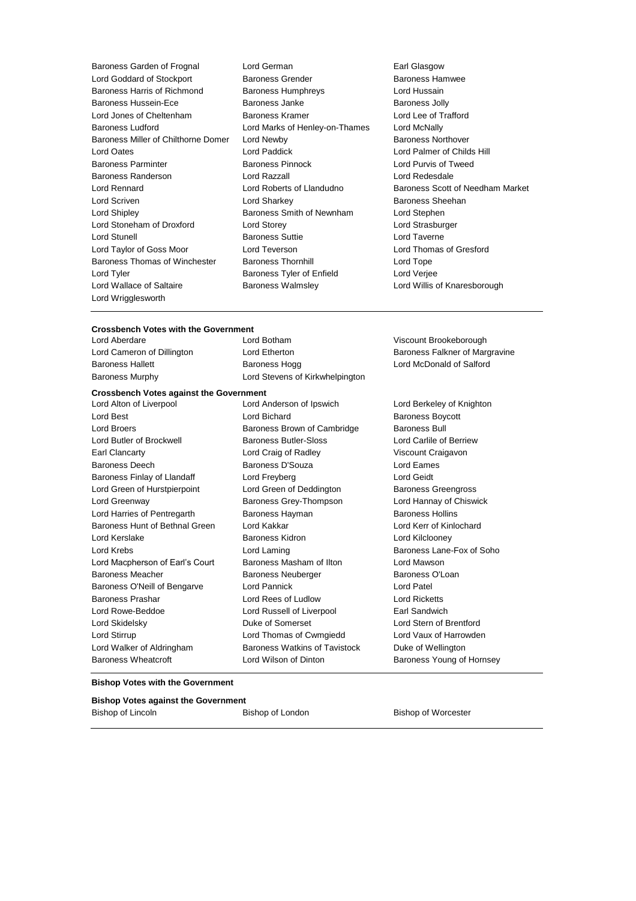Baroness Garden of Frognal Lord German Earl Glasgow Lord Goddard of Stockport **Baroness Grender** Baroness Hamwee Baroness Harris of Richmond Baroness Humphreys Lord Hussain Baroness Hussein-Ece **Baroness Janke** Baroness Janke Baroness Jolly Lord Jones of Cheltenham Baroness Kramer Lord Lee of Trafford Baroness Ludford **Lord Marks of Henley-on-Thames** Lord McNally Baroness Miller of Chilthorne Domer Lord Newby **Baroness Northover** Baroness Northover Lord Oates Lord Paddick Lord Palmer of Childs Hill Baroness Parminter Baroness Pinnock Lord Purvis of Tweed Baroness Randerson Lord Razzall Lord Redesdale Lord Rennard Lord Roberts of Llandudno Baroness Scott of Needham Market Lord Scriven Lord Sharkey Baroness Sheehan Lord Shipley **Baroness Smith of Newnham** Lord Stephen Lord Stoneham of Droxford Lord Storey Lord Strasburger Lord Stunell **Baroness Suttie Lord Taverne** Lord Taylor of Goss Moor Lord Teverson Lord Thomas of Gresford Baroness Thomas of Winchester Baroness Thornhill **Baroness** Thomas Cord Tope Lord Tyler Baroness Tyler of Enfield Lord Verjee Lord Wallace of Saltaire **Baroness Walmsley Communist Conduct And My** Lord Willis of Knaresborough Lord Wrigglesworth

- 
- 

# **Crossbench Votes with the Government**

**Crossbench Votes against the Government** Lord Aberdare Lord Botham Viscount Brookeborough Lord Cameron of Dillington Lord Etherton **Baroness Falkner of Margravine** Baroness Hallett Baroness Hogg Lord McDonald of Salford Baroness Murphy Lord Stevens of Kirkwhelpington Lord Alton of Liverpool Lord Anderson of Ipswich Lord Berkeley of Knighton Lord Best **Lord Bichard Baroness Boycott** 

Lord Broers **Baroness Brown of Cambridge** Baroness Bull Lord Butler of Brockwell Baroness Butler-Sloss Lord Carlile of Berriew Earl Clancarty Lord Craig of Radley Viscount Craigavon Baroness Deech Baroness D'Souza Lord Eames Baroness Finlay of Llandaff **Lord Freyberg** Lord Geidt Lord Geidt Lord Green of Hurstpierpoint Lord Green of Deddington Baroness Greengross Lord Greenway Baroness Grey-Thompson Lord Hannay of Chiswick Lord Harries of Pentregarth Baroness Hayman Baroness Hollins Baroness Hunt of Bethnal Green Lord Kakkar Lord Kerr of Kinlochard Lord Kerslake **Baroness Kidron** Baroness Kidron Lord Kilclooney Lord Krebs Lord Laming Baroness Lane-Fox of Soho Lord Macpherson of Earl's Court Baroness Masham of Ilton Lord Mawson Baroness Meacher **Baroness Neuberger** Baroness O'Loan Baroness O'Neill of Bengarve Lord Pannick Lord Patel Baroness Prashar Lord Rees of Ludlow Lord Ricketts Lord Rowe-Beddoe Lord Russell of Liverpool Earl Sandwich Lord Skidelsky Duke of Somerset Lord Stern of Brentford Lord Stirrup Lord Thomas of Cwmgiedd Lord Vaux of Harrowden Lord Walker of Aldringham Baroness Watkins of Tavistock Duke of Wellington

Baroness Wheatcroft **Lord Wilson of Dinton** Baroness Young of Hornsey

#### **Bishop Votes with the Government**

| <b>Bishop Votes against the Government</b> |                  |                            |
|--------------------------------------------|------------------|----------------------------|
| Bishop of Lincoln                          | Bishop of London | <b>Bishop of Worcester</b> |